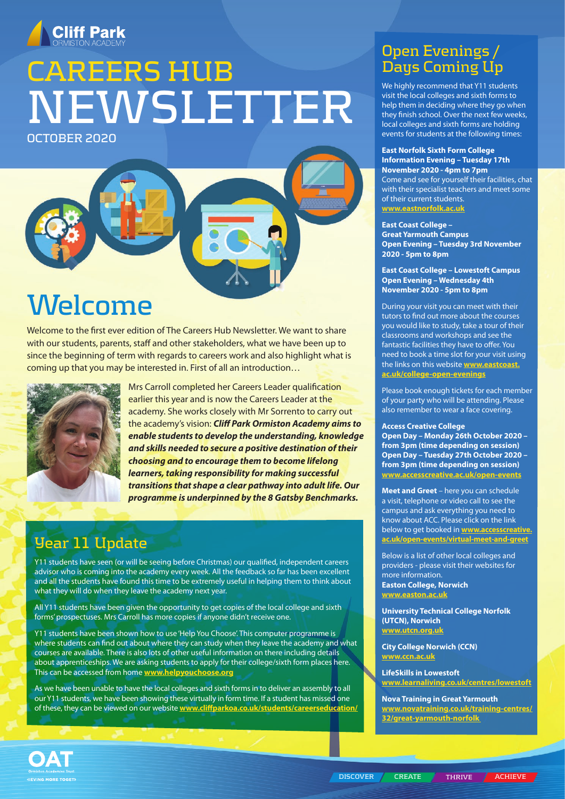

# **CAREERS HUB NEWSLETTER**

**OCTOBER 2020**

## **Welcome**

Welcome to the first ever edition of The Careers Hub Newsletter. We want to share with our students, parents, staff and other stakeholders, what we have been up to since the beginning of term with regards to careers work and also highlight what is coming up that you may be interested in. First of all an introduction…



Mrs Carroll completed her Careers Leader qualification earlier this year and is now the Careers Leader at the academy. She works closely with Mr Sorrento to carry out the academy's vision: *Cliff Park Ormiston Academy aims to enable students to develop the understanding, knowledge and skills needed to secure a positive destination of their choosing and to encourage them to become lifelong learners, taking responsibility for making successful transitions that shape a clear pathway into adult life. Our programme is underpinned by the 8 Gatsby Benchmarks.*

### **Year 11 Update**

Y11 students have seen (or will be seeing before Christmas) our qualified, independent careers advisor who is coming into the academy every week. All the feedback so far has been excellent and all the students have found this time to be extremely useful in helping them to think about what they will do when they leave the academy next year.

All Y11 students have been given the opportunity to get copies of the local college and sixth forms' prospectuses. Mrs Carroll has more copies if anyone didn't receive one.

Y11 students have been shown how to use 'Help You Choose'. This computer programme is where students can find out about where they can study when they leave the academy and what courses are available. There is also lots of other useful information on there including details about apprenticeships. We are asking students to apply for their college/sixth form places here. This can be accessed from home **[www.helpyouchoose.org](http://www.helpyouchoose.org)**

As we have been unable to have the local colleges and sixth forms in to deliver an assembly to all our Y11 students, we have been showing these virtually in form time. If a student has missed one of these, they can be viewed on our website **[www.cliffparkoa.co.uk/students/careerseducation/](http://www.cliffparkoa.co.uk/students/careerseducation/)**

### **Open Evenings / Days Coming Up**

We highly recommend that Y11 students visit the local colleges and sixth forms to help them in deciding where they go when they finish school. Over the next few weeks, local colleges and sixth forms are holding events for students at the following times:

#### **East Norfolk Sixth Form College Information Evening – Tuesday 17th November 2020 - 4pm to 7pm**

Come and see for yourself their facilities, chat with their specialist teachers and meet some of their current students. **[www.eastnorfolk.ac.uk](http://www.eastnorfolk.ac.uk)**

### **East Coast College –**

**Great Yarmouth Campus Open Evening – Tuesday 3rd November 2020 - 5pm to 8pm** 

**East Coast College – Lowestoft Campus Open Evening – Wednesday 4th November 2020 - 5pm to 8pm** 

During your visit you can meet with their tutors to find out more about the courses you would like to study, take a tour of their classrooms and workshops and see the fantastic facilities they have to offer. You need to book a time slot for your visit using the links on this website **[www.eastcoast.](http://www.eastcoast.ac.uk/college-open-evenings) [ac.uk/college-open-evenings](http://www.eastcoast.ac.uk/college-open-evenings)**

Please book enough tickets for each member of your party who will be attending. Please also remember to wear a face covering.

#### **Access Creative College**

**Open Day – Monday 26th October 2020 – from 3pm (time depending on session) Open Day – Tuesday 27th October 2020 – from 3pm (time depending on session)** www.accesscreative.ac.uk/open-events

**Meet and Greet** – here you can schedule a visit, telephone or video call to see the campus and ask everything you need to know about ACC. Please click on the link below to get booked in **[www.accesscreative.](http://www.accesscreative.ac.uk/open-events/virtual-meet-and-greet) [ac.uk/open-events/virtual-meet-and-greet](http://www.accesscreative.ac.uk/open-events/virtual-meet-and-greet)**

Below is a list of other local colleges and providers - please visit their websites for more information. **Easton College, Norwich [www.easton.ac.uk](http://www.easton.ac.uk)**

**University Technical College Norfolk (UTCN), Norwich [www.utcn.org.uk](http://www.utcn.org.uk)**

**City College Norwich (CCN) [www.ccn.ac.uk](http://www.ccn.ac.uk)**

**LifeSkills in Lowestoft [www.learnaliving.co.uk/centres/lowestoft](http://www.learnaliving.co.uk/centres/lowestoft )**

**Nova Training in Great Yarmouth [www.novatraining.co.uk/training-centres/](http://www.novatraining.co.uk/training-centres/ 32/great-yarmouth-norfolk ) [32/great-yarmouth-norfolk](http://www.novatraining.co.uk/training-centres/ 32/great-yarmouth-norfolk )**